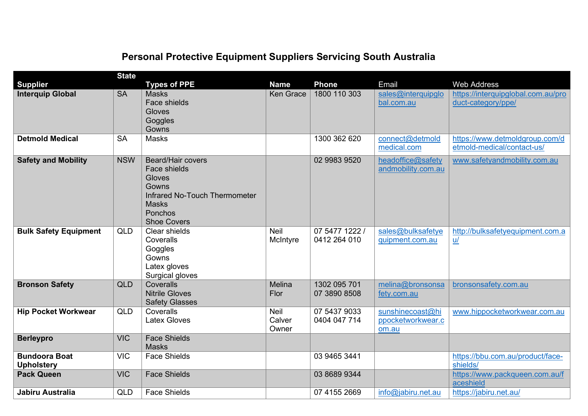|                                           | <b>State</b> |                                                                                                                                               |                         |                                |                                                |                                                              |
|-------------------------------------------|--------------|-----------------------------------------------------------------------------------------------------------------------------------------------|-------------------------|--------------------------------|------------------------------------------------|--------------------------------------------------------------|
| <b>Supplier</b>                           |              | <b>Types of PPE</b>                                                                                                                           | <b>Name</b>             | <b>Phone</b>                   | Email                                          | <b>Web Address</b>                                           |
| <b>Interquip Global</b>                   | <b>SA</b>    | <b>Masks</b><br>Face shields<br>Gloves<br>Goggles<br>Gowns                                                                                    | <b>Ken Grace</b>        | 1800 110 303                   | sales@interquipglo<br>bal.com.au               | https://interquipglobal.com.au/pro<br>duct-category/ppe/     |
| <b>Detmold Medical</b>                    | <b>SA</b>    | <b>Masks</b>                                                                                                                                  |                         | 1300 362 620                   | connect@detmold<br>medical.com                 | https://www.detmoldgroup.com/d<br>etmold-medical/contact-us/ |
| <b>Safety and Mobility</b>                | <b>NSW</b>   | <b>Beard/Hair covers</b><br>Face shields<br>Gloves<br>Gowns<br>Infrared No-Touch Thermometer<br><b>Masks</b><br>Ponchos<br><b>Shoe Covers</b> |                         | 02 9983 9520                   | headoffice@safety<br>andmobility.com.au        | www.safetyandmobility.com.au                                 |
| <b>Bulk Safety Equipment</b>              | QLD          | Clear shields<br>Coveralls<br>Goggles<br>Gowns<br>Latex gloves<br>Surgical gloves                                                             | Neil<br>McIntyre        | 07 5477 1222 /<br>0412 264 010 | sales@bulksafetye<br>quipment.com.au           | http://bulksafetyequipment.com.a<br>$u$                      |
| <b>Bronson Safety</b>                     | <b>QLD</b>   | Coveralls<br><b>Nitrile Gloves</b><br><b>Safety Glasses</b>                                                                                   | Melina<br>Flor          | 1302 095 701<br>07 3890 8508   | melina@bronsonsa<br>fety.com.au                | bronsonsafety.com.au                                         |
| <b>Hip Pocket Workwear</b>                | <b>QLD</b>   | Coveralls<br><b>Latex Gloves</b>                                                                                                              | Neil<br>Calver<br>Owner | 07 5437 9033<br>0404 047 714   | sunshinecoast@hi<br>ppocketworkwear.c<br>om.au | www.hippocketworkwear.com.au                                 |
| <b>Berleypro</b>                          | <b>VIC</b>   | <b>Face Shields</b><br><b>Masks</b>                                                                                                           |                         |                                |                                                |                                                              |
| <b>Bundoora Boat</b><br><b>Upholstery</b> | <b>VIC</b>   | <b>Face Shields</b>                                                                                                                           |                         | 03 9465 3441                   |                                                | https://bbu.com.au/product/face-<br>shields/                 |
| <b>Pack Queen</b>                         | <b>VIC</b>   | <b>Face Shields</b>                                                                                                                           |                         | 03 8689 9344                   |                                                | https://www.packqueen.com.au/f<br>aceshield                  |
| Jabiru Australia                          | <b>QLD</b>   | <b>Face Shields</b>                                                                                                                           |                         | 07 4155 2669                   | info@jabiru.net.au                             | https://jabiru.net.au/                                       |

## **Personal Protective Equipment Suppliers Servicing South Australia**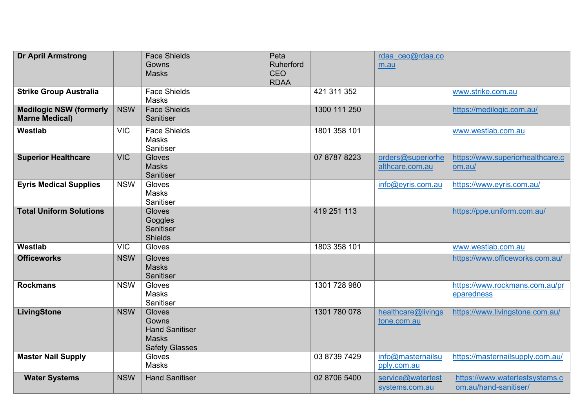| <b>Dr April Armstrong</b>                               |            | <b>Face Shields</b><br>Gowns<br><b>Masks</b>                                      | Peta<br>Ruherford<br><b>CEO</b><br><b>RDAA</b> |              | rdaa ceo@rdaa.co<br>m.au                 |                                                         |
|---------------------------------------------------------|------------|-----------------------------------------------------------------------------------|------------------------------------------------|--------------|------------------------------------------|---------------------------------------------------------|
| <b>Strike Group Australia</b>                           |            | <b>Face Shields</b><br>Masks                                                      |                                                | 421 311 352  |                                          | www.strike.com.au                                       |
| <b>Medilogic NSW (formerly</b><br><b>Marne Medical)</b> | <b>NSW</b> | <b>Face Shields</b><br>Sanitiser                                                  |                                                | 1300 111 250 |                                          | https://medilogic.com.au/                               |
| Westlab                                                 | <b>VIC</b> | <b>Face Shields</b><br><b>Masks</b><br>Sanitiser                                  |                                                | 1801 358 101 |                                          | www.westlab.com.au                                      |
| <b>Superior Healthcare</b>                              | <b>VIC</b> | Gloves<br><b>Masks</b><br>Sanitiser                                               |                                                | 07 8787 8223 | orders@superiorhe<br>althcare.com.au     | https://www.superiorhealthcare.c<br>om.au/              |
| <b>Eyris Medical Supplies</b>                           | <b>NSW</b> | Gloves<br>Masks<br>Sanitiser                                                      |                                                |              | info@eyris.com.au                        | https://www.eyris.com.au/                               |
| <b>Total Uniform Solutions</b>                          |            | Gloves<br>Goggles<br>Sanitiser<br><b>Shields</b>                                  |                                                | 419 251 113  |                                          | https://ppe.uniform.com.au/                             |
| Westlab                                                 | <b>VIC</b> | Gloves                                                                            |                                                | 1803 358 101 |                                          | www.westlab.com.au                                      |
| <b>Officeworks</b>                                      | <b>NSW</b> | Gloves<br><b>Masks</b><br>Sanitiser                                               |                                                |              |                                          | https://www.officeworks.com.au/                         |
| <b>Rockmans</b>                                         | <b>NSW</b> | Gloves<br><b>Masks</b><br>Sanitiser                                               |                                                | 1301 728 980 |                                          | https://www.rockmans.com.au/pr<br>eparedness            |
| LivingStone                                             | <b>NSW</b> | Gloves<br>Gowns<br><b>Hand Sanitiser</b><br><b>Masks</b><br><b>Safety Glasses</b> |                                                | 1301 780 078 | healthcare@livings<br><u>tone.com.au</u> | https://www.livingstone.com.au/                         |
| <b>Master Nail Supply</b>                               |            | Gloves<br>Masks                                                                   |                                                | 03 8739 7429 | info@masternailsu<br>pply.com.au         | https://masternailsupply.com.au/                        |
| <b>Water Systems</b>                                    | <b>NSW</b> | <b>Hand Sanitiser</b>                                                             |                                                | 02 8706 5400 | service@watertest<br>systems.com.au      | https://www.watertestsystems.c<br>om.au/hand-sanitiser/ |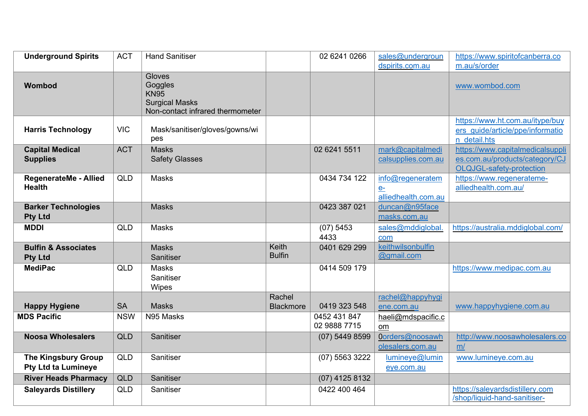| <b>Underground Spirits</b>                               | <b>ACT</b> | <b>Hand Sanitiser</b>                                                                                |                        | 02 6241 0266                 | sales@undergroun                                 | https://www.spiritofcanberra.co                                                                |
|----------------------------------------------------------|------------|------------------------------------------------------------------------------------------------------|------------------------|------------------------------|--------------------------------------------------|------------------------------------------------------------------------------------------------|
|                                                          |            |                                                                                                      |                        |                              | dspirits.com.au                                  | m.au/s/order                                                                                   |
| Wombod                                                   |            | <b>Gloves</b><br>Goggles<br><b>KN95</b><br><b>Surgical Masks</b><br>Non-contact infrared thermometer |                        |                              |                                                  | www.wombod.com                                                                                 |
| <b>Harris Technology</b>                                 | <b>VIC</b> | Mask/sanitiser/gloves/gowns/wi<br>pes                                                                |                        |                              |                                                  | https://www.ht.com.au/itype/buy<br>ers guide/article/ppe/informatio<br>n detail.hts            |
| <b>Capital Medical</b><br><b>Supplies</b>                | <b>ACT</b> | <b>Masks</b><br><b>Safety Glasses</b>                                                                |                        | 02 6241 5511                 | mark@capitalmedi<br>calsupplies.com.au           | https://www.capitalmedicalsuppli<br>es.com.au/products/category/CJ<br>OLQJGL-safety-protection |
| <b>RegenerateMe - Allied</b><br><b>Health</b>            | <b>QLD</b> | <b>Masks</b>                                                                                         |                        | 0434 734 122                 | info@regeneratem<br>$e$ -<br>alliedhealth.com.au | https://www.regenerateme-<br>alliedhealth.com.au/                                              |
| <b>Barker Technologies</b><br><b>Pty Ltd</b>             |            | <b>Masks</b>                                                                                         |                        | 0423 387 021                 | duncan@n95face<br>masks.com.au                   |                                                                                                |
| <b>MDDI</b>                                              | <b>QLD</b> | Masks                                                                                                |                        | (07) 5453<br>4433            | sales@mddiglobal.<br>com                         | https://australia.mddiglobal.com/                                                              |
| <b>Bulfin &amp; Associates</b><br><b>Pty Ltd</b>         |            | <b>Masks</b><br>Sanitiser                                                                            | Keith<br><b>Bulfin</b> | 0401 629 299                 | keithwilsonbulfin<br>@gmail.com                  |                                                                                                |
| <b>MediPac</b>                                           | <b>QLD</b> | <b>Masks</b><br>Sanitiser<br><b>Wipes</b>                                                            |                        | 0414 509 179                 |                                                  | https://www.medipac.com.au                                                                     |
|                                                          |            |                                                                                                      | Rachel                 |                              | rachel@happyhygi                                 |                                                                                                |
| <b>Happy Hygiene</b>                                     | <b>SA</b>  | <b>Masks</b>                                                                                         | <b>Blackmore</b>       | 0419 323 548                 | ene.com.au                                       | www.happyhygiene.com.au                                                                        |
| <b>MDS Pacific</b>                                       | <b>NSW</b> | N95 Masks                                                                                            |                        | 0452 431 847<br>02 9888 7715 | haeli@mdspacific.c<br>om                         |                                                                                                |
| <b>Noosa Wholesalers</b>                                 | <b>QLD</b> | Sanitiser                                                                                            |                        | $(07)$ 5449 8599             | Oorders@noosawh<br>olesalers.com.au              | http://www.noosawholesalers.co<br>m/                                                           |
| <b>The Kingsbury Group</b><br><b>Pty Ltd ta Lumineye</b> | <b>QLD</b> | Sanitiser                                                                                            |                        | (07) 5563 3222               | lumineye@lumin<br>eye.com.au                     | www.lumineye.com.au                                                                            |
| <b>River Heads Pharmacy</b>                              | <b>QLD</b> | Sanitiser                                                                                            |                        | $(07)$ 4125 8132             |                                                  |                                                                                                |
| <b>Saleyards Distillery</b>                              | <b>QLD</b> | Sanitiser                                                                                            |                        | 0422 400 464                 |                                                  | https://saleyardsdistillery.com<br>/shop/liquid-hand-sanitiser-                                |